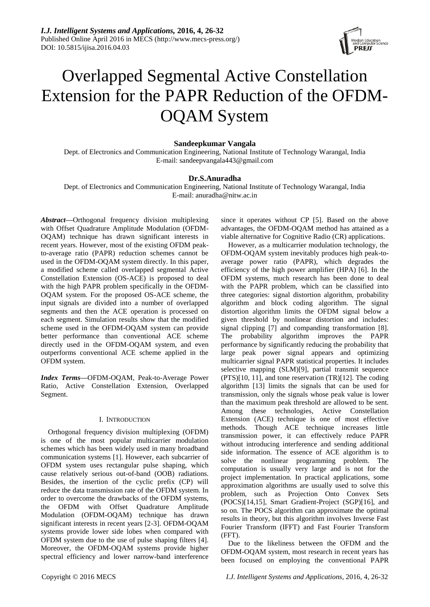

# Overlapped Segmental Active Constellation Extension for the PAPR Reduction of the OFDM-OQAM System

## **Sandeepkumar Vangala**

Dept. of Electronics and Communication Engineering, National Institute of Technology Warangal, India E-mail: sandeepvangala443@gmail.com

## **Dr.S.Anuradha**

Dept. of Electronics and Communication Engineering, National Institute of Technology Warangal, India E-mail: anuradha@nitw.ac.in

*Abstract***—**Orthogonal frequency division multiplexing with Offset Quadrature Amplitude Modulation (OFDM-OQAM) technique has drawn significant interests in recent years. However, most of the existing OFDM peakto-average ratio (PAPR) reduction schemes cannot be used in the OFDM-OQAM system directly. In this paper, a modified scheme called overlapped segmental Active Constellation Extension (OS-ACE) is proposed to deal with the high PAPR problem specifically in the OFDM-OQAM system. For the proposed OS-ACE scheme, the input signals are divided into a number of overlapped segments and then the ACE operation is processed on each segment. Simulation results show that the modified scheme used in the OFDM-OQAM system can provide better performance than conventional ACE scheme directly used in the OFDM-OQAM system, and even outperforms conventional ACE scheme applied in the OFDM system.

*Index Terms—*OFDM-OQAM, Peak-to-Average Power Ratio, Active Constellation Extension, Overlapped Segment.

## I. INTRODUCTION

Orthogonal frequency division multiplexing (OFDM) is one of the most popular multicarrier modulation schemes which has been widely used in many broadband communication systems [1]. However, each subcarrier of OFDM system uses rectangular pulse shaping, which cause relatively serious out-of-band (OOB) radiations. Besides, the insertion of the cyclic prefix (CP) will reduce the data transmission rate of the OFDM system. In order to overcome the drawbacks of the OFDM systems, the OFDM with Offset Quadrature Amplitude Modulation (OFDM-OQAM) technique has drawn significant interests in recent years [2-3]. OFDM-OQAM systems provide lower side lobes when compared with OFDM system due to the use of pulse shaping filters [4]. Moreover, the OFDM-OQAM systems provide higher spectral efficiency and lower narrow-band interference since it operates without CP [5]. Based on the above advantages, the OFDM-OQAM method has attained as a viable alternative for Cognitive Radio (CR) applications.

However, as a multicarrier modulation technology, the OFDM-OQAM system inevitably produces high peak-toaverage power ratio (PAPR), which degrades the efficiency of the high power amplifier (HPA) [6]. In the OFDM systems, much research has been done to deal with the PAPR problem, which can be classified into three categories: signal distortion algorithm, probability algorithm and block coding algorithm. The signal distortion algorithm limits the OFDM signal below a given threshold by nonlinear distortion and includes: signal clipping [7] and companding transformation [8]. The probability algorithm improves the PAPR performance by significantly reducing the probability that large peak power signal appears and optimizing multicarrier signal PAPR statistical properties. It includes selective mapping (SLM)[9], partial transmit sequence (PTS)[10, 11], and tone reservation (TR)[12]. The coding algorithm [13] limits the signals that can be used for transmission, only the signals whose peak value is lower than the maximum peak threshold are allowed to be sent. Among these technologies, Active Constellation Extension (ACE) technique is one of most effective methods. Though ACE technique increases little transmission power, it can effectively reduce PAPR without introducing interference and sending additional side information. The essence of ACE algorithm is to solve the nonlinear programming problem. The computation is usually very large and is not for the project implementation. In practical applications, some approximation algorithms are usually used to solve this problem, such as Projection Onto Convex Sets (POCS)[14,15], Smart Gradient-Project (SGP)[16], and so on. The POCS algorithm can approximate the optimal results in theory, but this algorithm involves Inverse Fast Fourier Transform (IFFT) and Fast Fourier Transform (FFT).

Due to the likeliness between the OFDM and the OFDM-OQAM system, most research in recent years has been focused on employing the conventional PAPR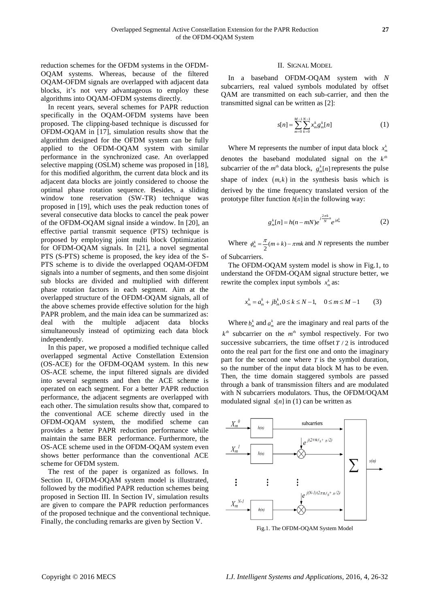reduction schemes for the OFDM systems in the OFDM-OQAM systems. Whereas, because of the filtered OQAM-OFDM signals are overlapped with adjacent data blocks, it's not very advantageous to employ these algorithms into OQAM-OFDM systems directly.

In recent years, several schemes for PAPR reduction specifically in the OQAM-OFDM systems have been proposed. The clipping-based technique is discussed for OFDM-OQAM in [17], simulation results show that the algorithm designed for the OFDM system can be fully applied to the OFDM-OQAM system with similar performance in the synchronized case. An overlapped selective mapping (OSLM) scheme was proposed in [18], for this modified algorithm, the current data block and its adjacent data blocks are jointly considered to choose the optimal phase rotation sequence. Besides, a sliding window tone reservation (SW-TR) technique was proposed in [19], which uses the peak reduction tones of several consecutive data blocks to cancel the peak power of the OFDM-OQAM signal inside a window. In [20], an effective partial transmit sequence (PTS) technique is proposed by employing joint multi block Optimization for OFDM-OQAM signals. In [21], a novel segmental PTS (S-PTS) scheme is proposed, the key idea of the S-PTS scheme is to divide the overlapped OQAM-OFDM signals into a number of segments, and then some disjoint sub blocks are divided and multiplied with different phase rotation factors in each segment. Aim at the overlapped structure of the OFDM-OQAM signals, all of the above schemes provide effective solution for the high PAPR problem, and the main idea can be summarized as: deal with the multiple adjacent data blocks simultaneously instead of optimizing each data block independently.

In this paper, we proposed a modified technique called overlapped segmental Active Constellation Extension (OS-ACE) for the OFDM-OQAM system. In this new OS-ACE scheme, the input filtered signals are divided into several segments and then the ACE scheme is operated on each segment. For a better PAPR reduction performance, the adjacent segments are overlapped with each other. The simulation results show that, compared to the conventional ACE scheme directly used in the OFDM-OQAM system, the modified scheme can provides a better PAPR reduction performance while maintain the same BER performance. Furthermore, the OS-ACE scheme used in the OFDM-OQAM system even shows better performance than the conventional ACE scheme for OFDM system.

The rest of the paper is organized as follows. In Section II, OFDM-OQAM system model is illustrated, followed by the modified PAPR reduction schemes being proposed in Section III. In Section IV, simulation results are given to compare the PAPR reduction performances of the proposed technique and the conventional technique. Finally, the concluding remarks are given by Section V.

## II. SIGNAL MODEL

In a baseband OFDM-OQAM system with *N*  subcarriers, real valued symbols modulated by offset QAM are transmitted on each sub-carrier, and then the transmitted signal can be written as [2]:

$$
s[n] = \sum_{m=0}^{M-1} \sum_{k=0}^{N-1} x_m^k g_m^k[n] \tag{1}
$$

Where M represents the number of input data block  $x_m^k$ denotes the baseband modulated signal on the  $k^{th}$ subcarrier of the  $m<sup>th</sup>$  data block,  $g<sub>m</sub><sup>k</sup>[n]$  represents the pulse shape of index  $(m, k)$  in the synthesis basis which is derived by the time frequency translated version of the prototype filter function  $h[n]$  in the following way:

$$
g_m^k[n] = h(n - mN)e^{j\frac{2\pi k}{N}n}e^{j\phi_m^k}
$$
 (2)

Where  $\phi_m^k = \frac{\pi}{2}(m+k) - \pi mk$  and *N* represents the number of Subcarriers.

The OFDM-OQAM system model is show in Fig.1, to understand the OFDM-OQAM signal structure better, we rewrite the complex input symbols  $x_m^k$  as:

$$
x_m^k = a_m^k + jb_m^k, 0 \le k \le N - 1, \quad 0 \le m \le M - 1 \tag{3}
$$

Where  $b_m^k$  and  $a_m^k$  are the imaginary and real parts of the  $k<sup>th</sup>$  subcarrier on the  $m<sup>th</sup>$  symbol respectively. For two successive subcarriers, the time offset  $T/2$  is introduced onto the real part for the first one and onto the imaginary part for the second one where *T* is the symbol duration, so the number of the input data block M has to be even. Then, the time domain staggered symbols are passed through a bank of transmission filters and are modulated with N subcarriers modulators. Thus, the OFDM/OQAM modulated signal  $s[n]$  in (1) can be written as



Fig.1. The OFDM-OQAM System Model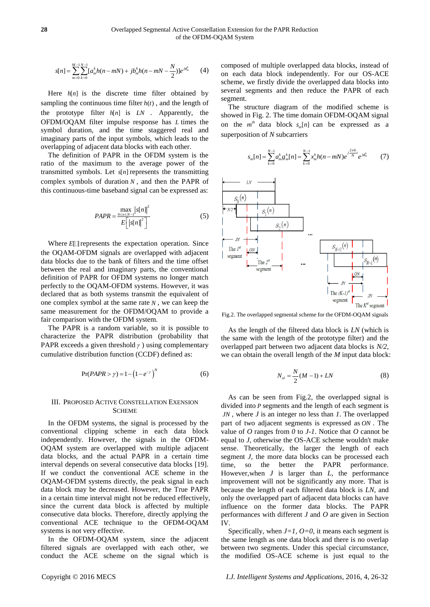$$
s[n] = \sum_{m=0}^{M-1} \sum_{k=0}^{N-1} [a_m^k h(n-mN) + jb_m^k h(n-mN - \frac{N}{2})]e^{j\phi_m^k}
$$
 (4)

Here  $h[n]$  is the discrete time filter obtained by sampling the continuous time filter  $h(t)$ , and the length of the prototype filter  $h[n]$  is  $LN$ . Apparently, the OFDM/OQAM filter impulse response has *L* times the symbol duration, and the time staggered real and imaginary parts of the input symbols, which leads to the overlapping of adjacent data blocks with each other.

The definition of PAPR in the OFDM system is the ratio of the maximum to the average power of the transmitted symbols. Let  $s[n]$  represents the transmitting complex symbols of duration *N* , and then the PAPR of this continuous-time baseband signal can be expressed as:

$$
PAPR = \frac{\max_{0 \le n \le N-1} |s[n]|^2}{E\left[|s[n]|^2\right]}
$$
(5)

Where  $E[\Box]$  represents the expectation operation. Since the OQAM-OFDM signals are overlapped with adjacent data blocks due to the bank of filters and the time offset between the real and imaginary parts, the conventional definition of PAPR for OFDM systems no longer match perfectly to the OQAM-OFDM systems. However, it was declared that as both systems transmit the equivalent of one complex symbol at the same rate *N* , we can keep the same measurement for the OFDM/OQAM to provide a fair comparison with the OFDM system.

The PAPR is a random variable, so it is possible to characterize the PAPR distribution (probability that PAPR exceeds a given threshold  $\gamma$ ) using complementary cumulative distribution function (CCDF) defined as:

$$
Pr(PAPR > \gamma) = 1 - (1 - e^{-\gamma})^N
$$
 (6)

### III. PROPOSED ACTIVE CONSTELLATION EXENSION **SCHEME**

In the OFDM systems, the signal is processed by the conventional clipping scheme in each data block independently. However, the signals in the OFDM-OQAM system are overlapped with multiple adjacent data blocks, and the actual PAPR in a certain time interval depends on several consecutive data blocks [19]. If we conduct the conventional ACE scheme in the OQAM-OFDM systems directly, the peak signal in each data block may be decreased. However, the True PAPR in a certain time interval might not be reduced effectively, since the current data block is affected by multiple consecutive data blocks. Therefore, directly applying the conventional ACE technique to the OFDM-OQAM systems is not very effective.

In the OFDM-OQAM system, since the adjacent filtered signals are overlapped with each other, we conduct the ACE scheme on the signal which is composed of multiple overlapped data blocks, instead of on each data block independently. For our OS-ACE scheme, we firstly divide the overlapped data blocks into several segments and then reduce the PAPR of each segment.

The structure diagram of the modified scheme is showed in Fig. 2. The time domain OFDM-OQAM signal on the  $m^{\text{th}}$  data block  $s_m[n]$  can be expressed as a superposition of *N* subcarriers

$$
s_m[n] = \sum_{k=0}^{N-1} a_m^k g_m^k[n] = \sum_{k=0}^{N-1} x_m^k h(n-mN) e^{j\frac{2\pi k}{N}} e^{j\phi_m^k}
$$
 (7)



Fig.2. The overlapped segmental scheme for the OFDM-OQAM signals

As the length of the filtered data block is *LN* (which is the same with the length of the prototype filter) and the overlapped part between two adjacent data blocks is *N/2*, we can obtain the overall length of the *M* input data block:

$$
N_{ol} = \frac{N}{2}(M - 1) + LN
$$
 (8)

As can be seen from Fig.2, the overlapped signal is divided into *P* segments and the length of each segment is *JN* , where *J* is an integer no less than *1*. The overlapped part of two adjacent segments is expressed as *ON* . The value of *O* ranges from *0* to *J-1*. Notice that *O* cannot be equal to *J*, otherwise the OS-ACE scheme wouldn't make sense. Theoretically, the larger the length of each segment *J*, the more data blocks can be processed each time, so the better the PAPR performance. However,when *J* is larger than *L*, the performance improvement will not be significantly any more. That is because the length of each filtered data block is *LN*, and only the overlapped part of adjacent data blocks can have influence on the former data blocks. The PAPR performances with different *J* and *O* are given in Section IV.

Specifically, when  $J=1$ ,  $O=0$ , it means each segment is the same length as one data block and there is no overlap between two segments. Under this special circumstance, the modified OS-ACE scheme is just equal to the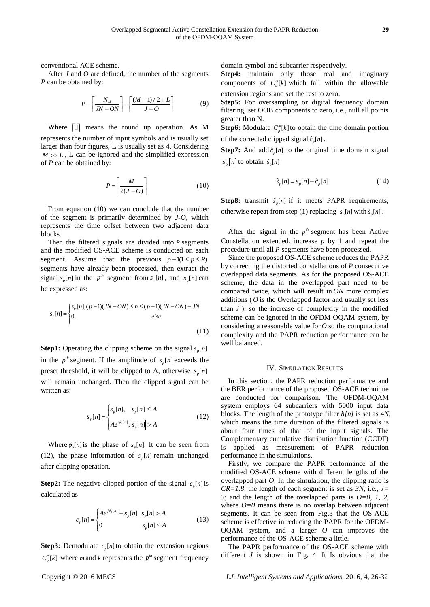conventional ACE scheme.

After *J* and *O* are defined, the number of the segments *P* can be obtained by:

$$
P = \left[ \frac{N_{ol}}{JN - ON} \right] = \left[ \frac{(M-1)/2 + L}{J - O} \right]
$$
 (9)

Where  $\lceil \Box \rceil$  means the round up operation. As M represents the number of input symbols and is usually set larger than four figures, L is usually set as 4. Considering  $M \gg L$ , L can be ignored and the simplified expression of *P* can be obtained by:

$$
P = \left[ \frac{M}{2(J - O)} \right] \tag{10}
$$

From equation (10) we can conclude that the number of the segment is primarily determined by *J-O,* which represents the time offset between two adjacent data blocks.

Then the filtered signals are divided into *P* segments and the modified OS-ACE scheme is conducted on each segment. Assume that the previous  $p-1(1 \le p \le P)$ segments have already been processed, then extract the signal  $s_p[n]$  in the  $p^{th}$  segment from  $s_m[n]$ , and  $s_p[n]$  can be expressed as:

$$
s_p[n] = \begin{cases} s_m[n], (p-1)(JN - ON) \le n \le (p-1)(JN - ON) + JN \\ 0, & else \end{cases}
$$
(11)

**Step1:** Operating the clipping scheme on the signal  $s_p[n]$ in the  $p^{\mu}$  segment. If the amplitude of  $s_p[n]$  exceeds the preset threshold, it will be clipped to A, otherwise  $s_p[n]$ will remain unchanged. Then the clipped signal can be written as:

$$
\tilde{s}_p[n] = \begin{cases} s_p[n], & |s_p[n]| \le A \\ A e^{i\phi_p[n]}, & |s_p[n]| > A \end{cases} \tag{12}
$$

Where  $\phi_p[n]$  is the phase of  $s_p[n]$ . It can be seen from (12), the phase information of  $s_p[n]$  remain unchanged after clipping operation.

**Step2:** The negative clipped portion of the signal  $c_p[n]$  is calculated as

$$
c_p[n] = \begin{cases} Ae^{j\phi_p[n]} - s_p[n] & s_p[n] > A\\ 0 & s_p[n] \le A \end{cases}
$$
 (13)

**Step3:** Demodulate  $c_p[n]$  to obtain the extension regions  $C_p^m[k]$  where *m* and *k* represents the  $p^h$  segment frequency domain symbol and subcarrier respectively.

**Step4:** maintain only those real and imaginary components of  $C_p^m[k]$  which fall within the allowable extension regions and set the rest to zero.

**Step5:** For oversampling or digital frequency domain filtering, set OOB components to zero, i.e., null all points greater than N.

**Step6:** Modulate  $C_p^m[k]$  to obtain the time domain portion of the corrected clipped signal  $\hat{c}_p[n]$ .

**Step7:** And add  $\hat{c}_p[n]$  to the original time domain signal  $s_p[n]$  to obtain  $\hat{s}_p[n]$ 

$$
\hat{s}_p[n] = s_p[n] + \hat{c}_p[n] \tag{14}
$$

**Step8:** transmit  $\hat{s}_p[n]$  if it meets PAPR requirements, otherwise repeat from step (1) replacing  $s_p[n]$  with  $\hat{s}_p[n]$ .

After the signal in the  $p^{th}$  segment has been Active Constellation extended, increase *p* by 1 and repeat the procedure until all *P* segments have been processed.

Since the proposed OS-ACE scheme reduces the PAPR by correcting the distorted constellations of *P* consecutive overlapped data segments. As for the proposed OS-ACE scheme, the data in the overlapped part need to be compared twice, which will result in *ON* more complex additions ( *O* is the Overlapped factor and usually set less than  $J$ ), so the increase of complexity in the modified scheme can be ignored in the OFDM-OQAM system, by considering a reasonable value for *O* so the computational complexity and the PAPR reduction performance can be well balanced.

#### IV. SIMULATION RESULTS

In this section, the PAPR reduction performance and the BER performance of the proposed OS-ACE technique are conducted for comparison. The OFDM-OQAM system employs 64 subcarriers with 5000 input data blocks. The length of the prototype filter *h[n]* is set as 4*N*, which means the time duration of the filtered signals is about four times of that of the input signals. The Complementary cumulative distribution function (CCDF) is applied as measurement of PAPR reduction performance in the simulations.

Firstly, we compare the PAPR performance of the modified OS-ACE scheme with different lengths of the overlapped part *O*. In the simulation, the clipping ratio is *CR=1.8*, the length of each segment is set as *3N,* i.e.*, J= 3*; and the length of the overlapped parts is *O=0, 1, 2,*  where  $O=0$  means there is no overlap between adjacent segments. It can be seen from Fig.3 that the OS-ACE scheme is effective in reducing the PAPR for the OFDM-OQAM system, and a larger *O* can improves the performance of the OS-ACE scheme a little.

The PAPR performance of the OS-ACE scheme with different *J* is shown in Fig. 4. It Is obvious that the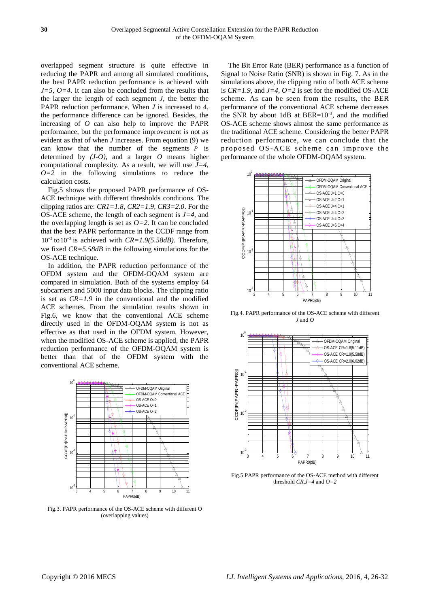overlapped segment structure is quite effective in reducing the PAPR and among all simulated conditions, the best PAPR reduction performance is achieved with *J=5, O=4*. It can also be concluded from the results that the larger the length of each segment *J*, the better the PAPR reduction performance. When *J* is increased to 4, the performance difference can be ignored. Besides, the increasing of *O* can also help to improve the PAPR performance, but the performance improvement is not as evident as that of when *J* increases. From equation (9) we can know that the number of the segments *P* is determined by *(J-O)*, and a larger *O* means higher computational complexity. As a result, we will use *J=4,*   $O=2$  in the following simulations to reduce the calculation costs.

Fig.5 shows the proposed PAPR performance of OS-ACE technique with different thresholds conditions. The clipping ratios are: *CR1=1.8, CR2=1.9, CR3=2.0*. For the OS-ACE scheme, the length of each segment is *J=4*, and the overlapping length is set as  $O=2$ . It can be concluded that the best PAPR performance in the CCDF range from  $10^{-2}$  to  $10^{-3}$  is achieved with *CR=1.9(5.58dB)*. Therefore, we fixed *CR=5.58dB* in the following simulations for the OS-ACE technique.

In addition, the PAPR reduction performance of the OFDM system and the OFDM-OQAM system are compared in simulation. Both of the systems employ 64 subcarriers and 5000 input data blocks. The clipping ratio is set as *CR=1.9* in the conventional and the modified ACE schemes. From the simulation results shown in Fig.6, we know that the conventional ACE scheme directly used in the OFDM-OQAM system is not as effective as that used in the OFDM system. However, when the modified OS-ACE scheme is applied, the PAPR reduction performance of the OFDM-OQAM system is better than that of the OFDM system with the conventional ACE scheme.



Fig.3. PAPR performance of the OS-ACE scheme with different O (overlapping values)

The Bit Error Rate (BER) performance as a function of Signal to Noise Ratio (SNR) is shown in Fig. 7. As in the simulations above, the clipping ratio of both ACE scheme is *CR=1.9*, and *J=4, O=2* is set for the modified OS-ACE scheme. As can be seen from the results, the BER performance of the conventional ACE scheme decreases the SNR by about 1dB at  $BER=10^{-3}$ , and the modified OS-ACE scheme shows almost the same performance as the traditional ACE scheme. Considering the better PAPR reduction performance, we can conclude that the proposed OS-ACE scheme can improve the performance of the whole OFDM-OQAM system.



Fig.4. PAPR performance of the OS-ACE scheme with different *J* and *O*



Fig.5.PAPR performance of the OS-ACE method with different threshold *CR,J=4* and *O=2*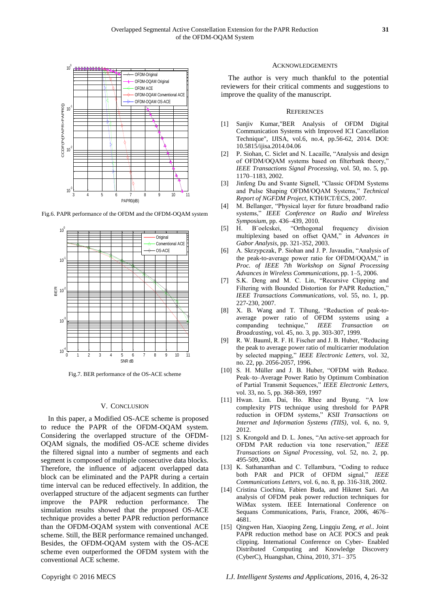

Fig.6. PAPR performance of the OFDM and the OFDM-OQAM system



Fig.7. BER performance of the OS-ACE scheme

## V. CONCLUSION

In this paper, a Modified OS-ACE scheme is proposed to reduce the PAPR of the OFDM-OQAM system. Considering the overlapped structure of the OFDM-OQAM signals, the modified OS-ACE scheme divides the filtered signal into a number of segments and each segment is composed of multiple consecutive data blocks. Therefore, the influence of adjacent overlapped data block can be eliminated and the PAPR during a certain time interval can be reduced effectively. In addition, the overlapped structure of the adjacent segments can further improve the PAPR reduction performance. The simulation results showed that the proposed OS-ACE technique provides a better PAPR reduction performance than the OFDM-OQAM system with conventional ACE scheme. Still, the BER performance remained unchanged. Besides, the OFDM-OQAM system with the OS-ACE scheme even outperformed the OFDM system with the conventional ACE scheme.

#### ACKNOWLEDGEMENTS

The author is very much thankful to the potential reviewers for their critical comments and suggestions to improve the quality of the manuscript.

#### **REFERENCES**

- [1] Sanjiv Kumar,"BER Analysis of OFDM Digital Communication Systems with Improved ICI Cancellation Technique", IJISA, vol.6, no.4, pp.56-62, 2014. DOI: 10.5815/ijisa.2014.04.06
- [2] P. Siohan, C. Siclet and N. Lacaille, "Analysis and design of OFDM/OQAM systems based on filterbank theory," *IEEE Transactions Signal Processing*, vol. 50, no. 5, pp. 1170–1183, 2002.
- [3] Jinfeng Du and Svante Signell, "Classic OFDM Systems and Pulse Shaping OFDM/OQAM Systems," *Technical Report of NGFDM Project*, KTH/ICT/ECS, 2007.
- [4] M. Bellanger, "Physical layer for future broadband radio systems," *IEEE Conference on Radio and Wireless Symposium*, pp. 436–439, 2010.
- [5] H. B¨oelcskei, "Orthogonal frequency division multiplexing based on offset QAM," in *Advances in Gabor Analysis*, pp. 321-352, 2003.
- [6] A. Skrzypczak, P. Siohan and J. P. Javaudin, "Analysis of the peak-to-average power ratio for OFDM/OQAM," in *Proc. of IEEE 7th Workshop on Signal Processing Advances in Wireless Communications*, pp. 1–5, 2006.
- [7] S.K. Deng and M. C. Lin, "Recursive Clipping and Filtering with Bounded Distortion for PAPR Reduction," *IEEE Transactions Communications*, vol. 55, no. 1, pp. 227-230, 2007.
- [8] X. B. Wang and T. Tihung, "Reduction of peak-toaverage power ratio of OFDM systems using a companding technique," *IEEE Transaction on Broadcasting,* vol. 45, no. 3, pp. 303-307, 1999.
- [9] R. W. Bauml, R. F. H. Fischer and J. B. Huber, "Reducing the peak to average power ratio of multicarrier modulation by selected mapping," *IEEE Electronic Letters,* vol. 32, no. 22, pp. 2056-2057, 1996.
- [10] S. H. Müller and J. B. Huber, "OFDM with Reduce. Peak–to–Average Power Ratio by Optimum Combination of Partial Transmit Sequences," *IEEE Electronic Letters,*  vol. 33, no. 5, pp. 368-369, 1997
- [11] Hwan. Lim. Dai, Ho. Rhee and Byung. "A low complexity PTS technique using threshold for PAPR reduction in OFDM systems," *KSII Transactions on Internet and Information Systems (TIIS)*, vol. 6, no. 9, 2012.
- [12] S. Krongold and D. L. Jones, "An active-set approach for OFDM PAR reduction via tone reservation," *IEEE Transactions on Signal Processing,* vol. 52, no. 2, pp. 495-509, 2004.
- [13] K. Sathananthan and C. Tellambura, "Coding to reduce both PAR and PICR of OFDM signal," *IEEE Communications Letters*, vol. 6, no. 8, pp. 316-318, 2002.
- [14] Cristina Ciochina, Fabien Buda, and Hikmet Sari. An analysis of OFDM peak power reduction techniques for WiMax system. IEEE International Conference on Sequans Communications, Paris, France, 2006, 4676– 4681.
- [15] Qingwen Han, Xiaoping Zeng, Lingqiu Zeng, *et al*.. Joint PAPR reduction method base on ACE POCS and peak clipping. International Conference on Cyber- Enabled Distributed Computing and Knowledge Discovery (CyberC), Huangshan, China, 2010, 371– 375